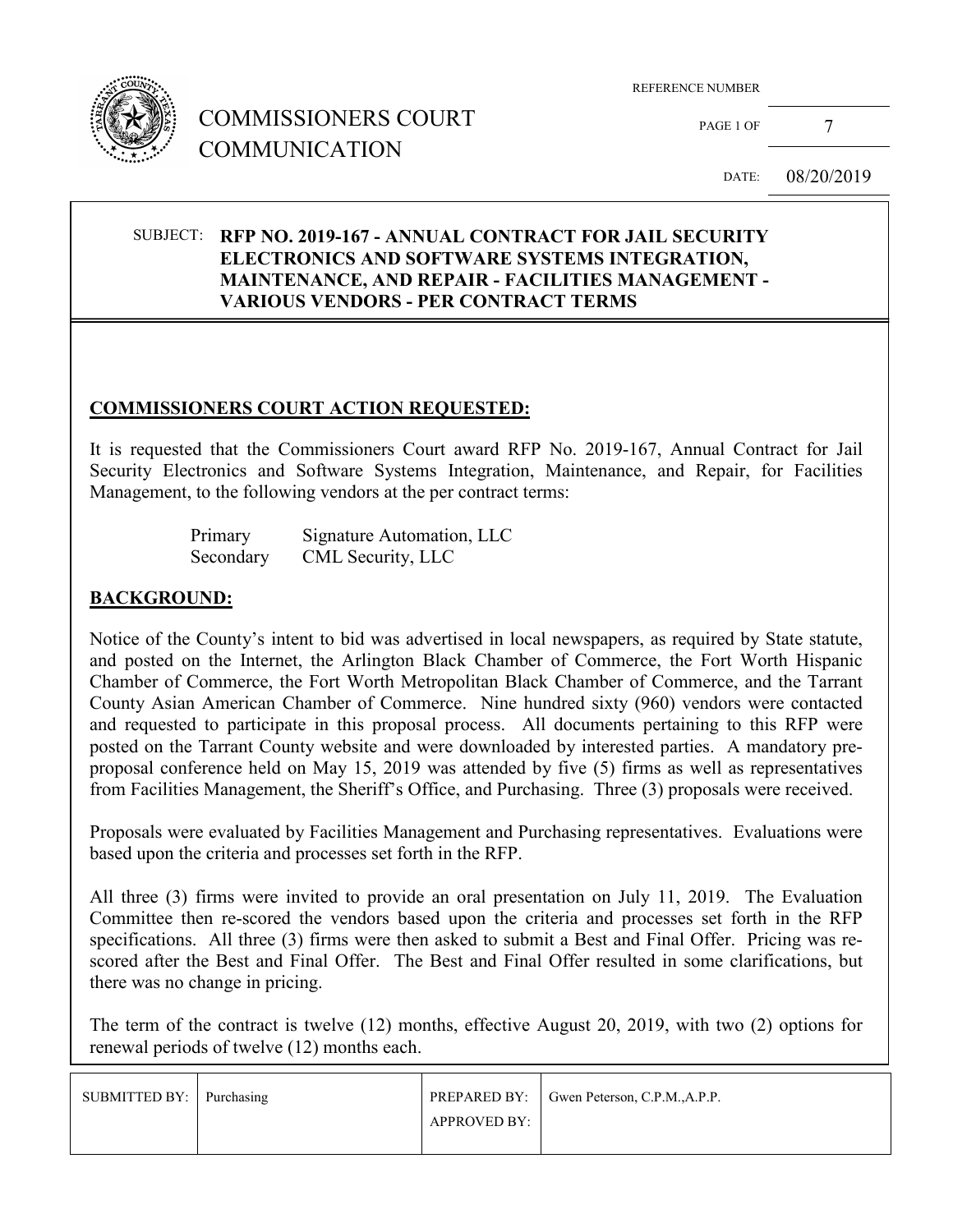

# COMMISSIONERS COURT COMMUNICATION

REFERENCE NUMBER

PAGE 1 OF 7

DATE: 08/20/2019

#### SUBJECT: **RFP NO. 2019-167 - ANNUAL CONTRACT FOR JAIL SECURITY ELECTRONICS AND SOFTWARE SYSTEMS INTEGRATION, MAINTENANCE, AND REPAIR - FACILITIES MANAGEMENT - VARIOUS VENDORS - PER CONTRACT TERMS**

#### **COMMISSIONERS COURT ACTION REQUESTED:**

It is requested that the Commissioners Court award RFP No. 2019-167, Annual Contract for Jail Security Electronics and Software Systems Integration, Maintenance, and Repair, for Facilities Management, to the following vendors at the per contract terms:

| Primary   | Signature Automation, LLC |
|-----------|---------------------------|
| Secondary | CML Security, LLC         |

#### **BACKGROUND:**

Notice of the County's intent to bid was advertised in local newspapers, as required by State statute, and posted on the Internet, the Arlington Black Chamber of Commerce, the Fort Worth Hispanic Chamber of Commerce, the Fort Worth Metropolitan Black Chamber of Commerce, and the Tarrant County Asian American Chamber of Commerce. Nine hundred sixty (960) vendors were contacted and requested to participate in this proposal process. All documents pertaining to this RFP were posted on the Tarrant County website and were downloaded by interested parties. A mandatory preproposal conference held on May 15, 2019 was attended by five (5) firms as well as representatives from Facilities Management, the Sheriff's Office, and Purchasing. Three (3) proposals were received.

Proposals were evaluated by Facilities Management and Purchasing representatives. Evaluations were based upon the criteria and processes set forth in the RFP.

All three (3) firms were invited to provide an oral presentation on July 11, 2019. The Evaluation Committee then re-scored the vendors based upon the criteria and processes set forth in the RFP specifications. All three (3) firms were then asked to submit a Best and Final Offer. Pricing was rescored after the Best and Final Offer. The Best and Final Offer resulted in some clarifications, but there was no change in pricing.

The term of the contract is twelve (12) months, effective August 20, 2019, with two (2) options for renewal periods of twelve (12) months each.

| SUBMITTED BY: Purchasing |              | PREPARED BY: Gwen Peterson, C.P.M., A.P.P. |
|--------------------------|--------------|--------------------------------------------|
|                          | APPROVED BY: |                                            |
|                          |              |                                            |